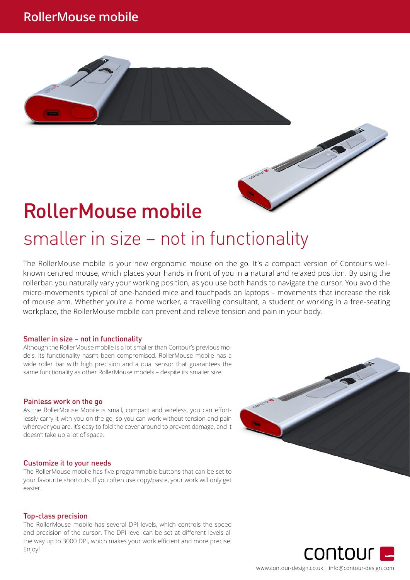# RollerMouse mobile

# smaller in size – not in functionality

The RollerMouse mobile is your new ergonomic mouse on the go. It's a compact version of Contour's wellknown centred mouse, which places your hands in front of you in a natural and relaxed position. By using the rollerbar, you naturally vary your working position, as you use both hands to navigate the cursor. You avoid the micro-movements typical of one-handed mice and touchpads on laptops – movements that increase the risk of mouse arm. Whether you're a home worker, a travelling consultant, a student or working in a free-seating workplace, the RollerMouse mobile can prevent and relieve tension and pain in your body.

#### Smaller in size – not in functionality

Although the RollerMouse mobile is a lot smaller than Contour's previous models, its functionality hasn't been compromised. RollerMouse mobile has a wide roller bar with high precision and a dual sensor that guarantees the same functionality as other RollerMouse models – despite its smaller size.

#### Painless work on the go

As the RollerMouse Mobile is small, compact and wireless, you can effortlessly carry it with you on the go, so you can work without tension and pain wherever you are. It's easy to fold the cover around to prevent damage, and it doesn't take up a lot of space.

#### Customize it to your needs

The RollerMouse mobile has five programmable buttons that can be set to your favourite shortcuts. If you often use copy/paste, your work will only get easier.

#### Top-class precision

The RollerMouse mobile has several DPI levels, which controls the speed and precision of the cursor. The DPI level can be set at different levels all the way up to 3000 DPI, which makes your work efficient and more precise. Enjoy!





www.contour-design.co.uk | info@contour-design.com